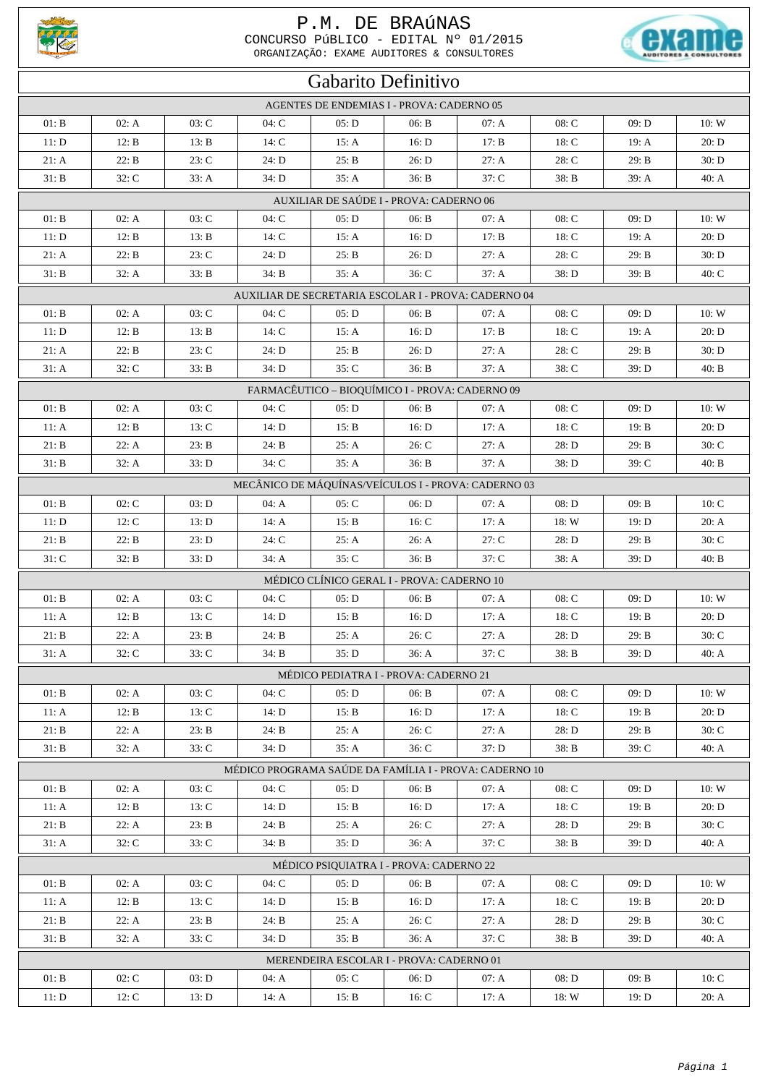

## P.M. DE BRAÚNAS

CONCURSO PÚBLICO - EDITAL  $N^{\circ}$  01/2015<br>
ORGANIZAÇÃO: EXAME AUDITORES & CONSULTORES



| Gabarito Definitivo                                    |                  |       |         |       |                                            |                                                     |         |         |       |  |
|--------------------------------------------------------|------------------|-------|---------|-------|--------------------------------------------|-----------------------------------------------------|---------|---------|-------|--|
| AGENTES DE ENDEMIAS I - PROVA: CADERNO 05              |                  |       |         |       |                                            |                                                     |         |         |       |  |
| 01: B                                                  | 02: A            | 03: C | 04: C   | 05: D | 06: B                                      | 07: A                                               | 08: C   | 09: D   | 10:W  |  |
| 11: D                                                  | 12: B            | 13: B | 14: C   | 15: A | 16: D                                      | 17: B                                               | 18: C   | 19: A   | 20: D |  |
| 21: A                                                  | 22: B            | 23: C | 24: D   | 25: B | 26: D                                      | 27: A                                               | $28:$ C | 29: B   | 30: D |  |
| 31: B                                                  | $32: \mathbb{C}$ | 33: A | 34: D   | 35: A | 36: B                                      | 37: C                                               | 38: B   | 39: A   | 40: A |  |
|                                                        |                  |       |         |       | AUXILIAR DE SAÚDE I - PROVA: CADERNO 06    |                                                     |         |         |       |  |
| 01: B                                                  | 02: A            | 03: C | 04: C   | 05: D | 06: B                                      | 07: A                                               | 08: C   | 09: D   | 10:W  |  |
| 11: D                                                  | 12: B            | 13: B | 14: $C$ | 15: A | 16: D                                      | 17: B                                               | 18: C   | 19: A   | 20: D |  |
| 21: A                                                  | 22: B            | 23: C | 24: D   | 25: B | 26: D                                      | 27: A                                               | 28: C   | 29: B   | 30: D |  |
| 31: B                                                  | 32: A            | 33: B | 34: B   | 35: A | 36: C                                      | 37: A                                               | 38: D   | 39: B   | 40: C |  |
| AUXILIAR DE SECRETARIA ESCOLAR I - PROVA: CADERNO 04   |                  |       |         |       |                                            |                                                     |         |         |       |  |
| 01: B                                                  | 02: A            | 03: C | 04: C   | 05: D | 06: B                                      | 07: A                                               | 08: C   | 09: D   | 10: W |  |
| 11: D                                                  | 12: B            | 13: B | 14: C   | 15: A | 16: D                                      | 17: B                                               | 18: C   | 19: A   | 20: D |  |
| 21: A                                                  | 22: B            | 23: C | 24: D   | 25: B | 26: D                                      | 27: A                                               | 28: C   | 29: B   | 30: D |  |
| 31: A                                                  | 32: C            | 33: B | 34: D   | 35: C | 36: B                                      | 37: A                                               | $38:$ C | 39: D   | 40: B |  |
| FARMACÊUTICO - BIOQUÍMICO I - PROVA: CADERNO 09        |                  |       |         |       |                                            |                                                     |         |         |       |  |
| 01: B                                                  | 02: A            | 03: C | 04: C   | 05: D | 06: B                                      | 07: A                                               | 08: C   | 09: D   | 10: W |  |
| 11: A                                                  | 12: B            | 13: C | 14: D   | 15: B | 16: D                                      | 17: A                                               | 18: C   | 19: B   | 20: D |  |
| $21: B$                                                | 22: A            | 23: B | 24: B   | 25: A | 26: C                                      | 27: A                                               | 28: D   | 29: B   | 30: C |  |
| 31: B                                                  | 32: A            | 33: D | 34: C   | 35: A | 36: B                                      | 37: A                                               | 38: D   | 39: C   | 40: B |  |
|                                                        |                  |       |         |       |                                            | MECÂNICO DE MÁQUÍNAS/VEÍCULOS I - PROVA: CADERNO 03 |         |         |       |  |
| 01: B                                                  | 02: C            | 03: D | 04: A   | 05: C | 06: D                                      | 07: A                                               | 08: D   | 09: B   | 10: C |  |
| 11: D                                                  | 12: C            | 13: D | 14: A   | 15: B | 16: C                                      | 17: A                                               | 18: W   | 19: D   | 20: A |  |
| 21: B                                                  | 22: B            | 23: D | 24: C   | 25: A | 26: A                                      | 27: C                                               | 28: D   | 29: B   | 30: C |  |
| 31: C                                                  | 32: B            | 33: D | 34: A   | 35: C | 36: B                                      | 37: C                                               | 38: A   | 39: D   | 40: B |  |
|                                                        |                  |       |         |       | MÉDICO CLÍNICO GERAL I - PROVA: CADERNO 10 |                                                     |         |         |       |  |
| 01: B                                                  | 02: A            | 03: C | 04: C   | 05: D | 06: B                                      | 07: A                                               | 08: C   | 09: D   | 10: W |  |
| 11: A                                                  | 12: B            | 13: C | 14: D   | 15: B | 16: D                                      | 17: A                                               | 18: C   | 19: B   | 20: D |  |
| $21: B$                                                | 22: A            | 23: B | 24: B   | 25: A | $26:$ C                                    | 27: A                                               | 28: D   | 29: B   | 30: C |  |
| 31: A                                                  | 32: C            | 33: C | 34: B   | 35: D | 36: A                                      | $37:$ C                                             | 38: B   | 39: D   | 40: A |  |
|                                                        |                  |       |         |       | MÉDICO PEDIATRA I - PROVA: CADERNO 21      |                                                     |         |         |       |  |
| 01: B                                                  | 02: A            | 03: C | 04: C   | 05: D | 06: B                                      | 07: A                                               | $08:$ C | 09: D   | 10:W  |  |
| 11: A                                                  | 12: B            | 13: C | 14: D   | 15: B | 16: D                                      | 17: A                                               | 18: C   | 19: B   | 20: D |  |
| 21: B                                                  | 22: A            | 23: B | 24: B   | 25: A | 26: C                                      | 27: A                                               | 28: D   | 29: B   | 30: C |  |
| 31: B                                                  | 32: A            | 33: C | 34: D   | 35: A | $36:$ C                                    | 37: D                                               | 38: B   | 39: C   | 40: A |  |
| MÉDICO PROGRAMA SAÚDE DA FAMÍLIA I - PROVA: CADERNO 10 |                  |       |         |       |                                            |                                                     |         |         |       |  |
| 01: B                                                  | 02: A            | 03: C | 04: C   | 05: D | 06: B                                      | 07: A                                               | 08: C   | 09: D   | 10:W  |  |
| 11: A                                                  | 12: B            | 13: C | 14: D   | 15: B | 16: D                                      | 17: A                                               | 18: C   | 19: B   | 20: D |  |
| 21: B                                                  | 22: A            | 23: B | 24: B   | 25: A | 26: C                                      | 27: A                                               | 28: D   | 29: B   | 30: C |  |
| 31: A                                                  | 32: C            | 33: C | 34: B   | 35: D | 36: A                                      | 37: C                                               | 38: B   | 39: D   | 40: A |  |
| MÉDICO PSIQUIATRA I - PROVA: CADERNO 22                |                  |       |         |       |                                            |                                                     |         |         |       |  |
| 01: B                                                  | 02: A            | 03: C | 04: C   | 05: D | 06: B                                      | 07: A                                               | 08: C   | 09: D   | 10:W  |  |
| 11: A                                                  | 12: B            | 13: C | 14: D   | 15: B | 16: D                                      | 17: A                                               | 18: C   | 19: $B$ | 20: D |  |
| 21: B                                                  | 22: A            | 23: B | 24: B   | 25: A | 26: C                                      | 27: A                                               | 28: D   | 29: B   | 30: C |  |
| 31: B                                                  | 32: A            | 33: C | 34: D   | 35: B | 36: A                                      | 37: C                                               | 38: B   | 39: D   | 40: A |  |
| MERENDEIRA ESCOLAR I - PROVA: CADERNO 01               |                  |       |         |       |                                            |                                                     |         |         |       |  |
| 01: B                                                  | 02: C            | 03: D | 04: A   | 05: C | 06: D                                      | 07: A                                               | 08: D   | 09: B   | 10: C |  |
| 11: D                                                  | 12: C            | 13: D | 14: A   | 15: B | 16: C                                      | 17: A                                               | 18: W   | 19: D   | 20: A |  |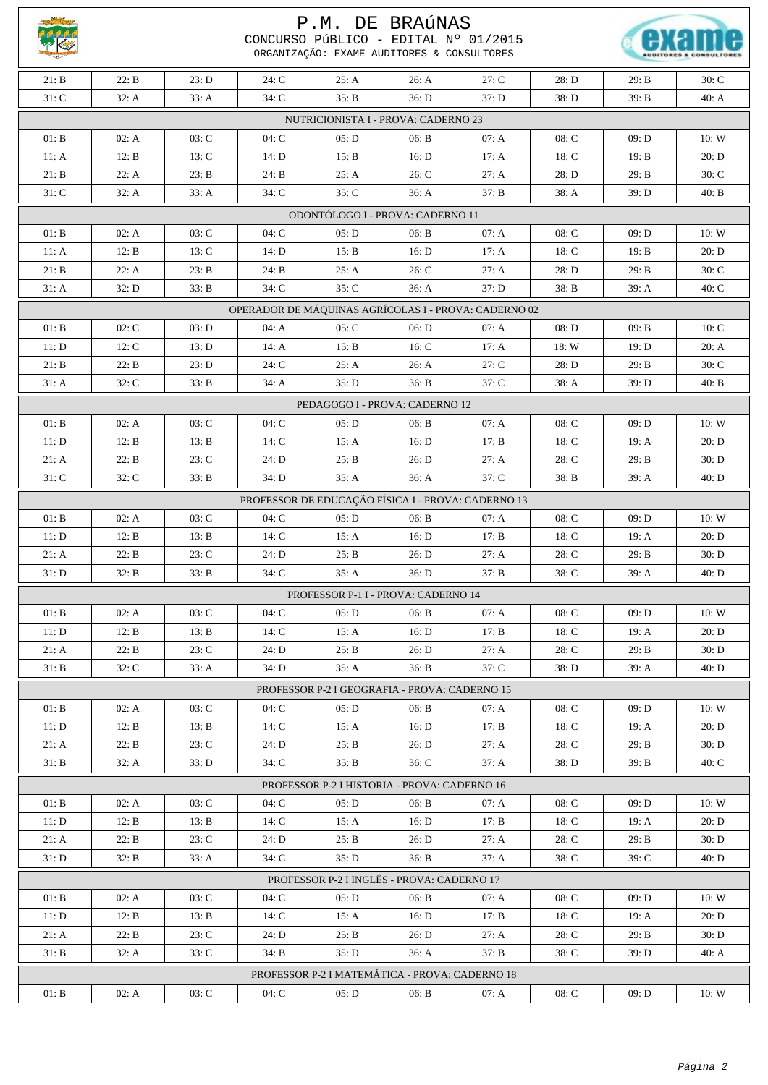|                                                      | P.M. DE BRAÚNAS<br>CONCURSO PÚBLICO - EDITAL Nº 01/2015<br>ORGANIZAÇÃO: EXAME AUDITORES & CONSULTORES |       |         |                                                |       |         |         |         |         |  |
|------------------------------------------------------|-------------------------------------------------------------------------------------------------------|-------|---------|------------------------------------------------|-------|---------|---------|---------|---------|--|
| 21: B                                                | 22: B                                                                                                 | 23: D | 24: C   | 25: A                                          | 26: A | 27: C   | 28: D   | 29: B   | $30:$ C |  |
| $31:$ C                                              | 32: A                                                                                                 | 33: A | 34: C   | 35: B                                          | 36: D | 37: D   | 38: D   | 39: B   | 40: A   |  |
| NUTRICIONISTA I - PROVA: CADERNO 23                  |                                                                                                       |       |         |                                                |       |         |         |         |         |  |
| 01: B                                                | 02: A                                                                                                 | 03: C | 04: C   | 05: D                                          | 06: B | 07: A   | 08: C   | 09: D   | 10:W    |  |
| 11: A                                                | 12: B                                                                                                 | 13: C | 14: D   | 15: B                                          | 16: D | 17: A   | 18: C   | 19: B   | 20: D   |  |
| 21: B                                                | 22: A                                                                                                 | 23: B | 24: B   | 25: A                                          | 26: C | 27: A   | 28: D   | 29: B   | 30: C   |  |
| $31:$ C                                              | 32: A                                                                                                 | 33: A | $34:$ C | 35: C                                          | 36: A | 37: B   | 38: A   | 39: D   | 40: B   |  |
| ODONTÓLOGO I - PROVA: CADERNO 11                     |                                                                                                       |       |         |                                                |       |         |         |         |         |  |
| 01: B                                                | 02: A                                                                                                 | 03: C | 04: C   | 05: D                                          | 06: B | 07: A   | 08: C   | 09: D   | 10:W    |  |
| 11: A                                                | 12: B                                                                                                 | 13: C | 14: D   | 15: B                                          | 16: D | 17: A   | 18: C   | 19: B   | 20: D   |  |
| 21: B                                                | 22: A                                                                                                 | 23: B | 24: B   | 25: A                                          | 26: C | 27: A   | 28: D   | 29: B   | 30: C   |  |
| 31: A                                                | 32: D                                                                                                 | 33: B | 34: C   | 35: C                                          | 36: A | 37: D   | 38: B   | 39: A   | $40:$ C |  |
| OPERADOR DE MÁQUINAS AGRÍCOLAS I - PROVA: CADERNO 02 |                                                                                                       |       |         |                                                |       |         |         |         |         |  |
| 01: B                                                | 02: C                                                                                                 | 03: D | 04: A   | 05: C                                          | 06: D | 07: A   | 08: D   | 09: B   | 10: C   |  |
| 11: D                                                | 12: C                                                                                                 | 13: D | 14: A   | 15: B                                          | 16: C | 17: A   | 18: W   | 19: D   | 20: A   |  |
| 21: B                                                | 22: B                                                                                                 | 23: D | 24: C   | 25: A                                          | 26: A | 27: C   | 28: D   | 29: B   | 30: C   |  |
| 31: A                                                | 32: C                                                                                                 | 33: B | 34: A   | 35: D                                          | 36: B | $37:$ C | 38: A   | 39: D   | 40: B   |  |
| PEDAGOGO I - PROVA: CADERNO 12                       |                                                                                                       |       |         |                                                |       |         |         |         |         |  |
| 01: B                                                | 02: A                                                                                                 | 03: C | 04:C    | 05: D                                          | 06: B | 07: A   | 08: C   | 09: D   | 10:W    |  |
| 11: D                                                | 12: B                                                                                                 | 13: B | 14: C   | 15: A                                          | 16: D | 17: B   | 18: C   | 19: A   | 20: D   |  |
| 21: A                                                | 22: B                                                                                                 | 23: C | 24: D   | 25: B                                          | 26: D | 27: A   | $28:$ C | 29: B   | 30: D   |  |
| $31:$ C                                              | 32: C                                                                                                 | 33: B | 34: D   | 35: A                                          | 36: A | $37:$ C | 38: B   | 39: A   | 40: D   |  |
| PROFESSOR DE EDUCAÇÃO FÍSICA I - PROVA: CADERNO 13   |                                                                                                       |       |         |                                                |       |         |         |         |         |  |
| 01: B                                                | 02: A                                                                                                 | 03: C | 04: C   | 05: D                                          | 06: B | 07: A   | $08:$ C | 09: D   | 10:W    |  |
| 11: D                                                | 12: B                                                                                                 | 13: B | 14: C   | 15: A                                          | 16: D | 17: B   | 18: C   | 19: A   | 20: D   |  |
| 21: A                                                | 22: B                                                                                                 | 23: C | 24: D   | 25: B                                          | 26: D | 27: A   | 28: C   | 29: B   | 30: D   |  |
| 31: D                                                | 32: B                                                                                                 | 33: B | $34:$ C | 35: A                                          | 36: D | 37: B   | $38:$ C | 39: A   | 40: D   |  |
|                                                      |                                                                                                       |       |         | PROFESSOR P-1 I - PROVA: CADERNO 14            |       |         |         |         |         |  |
| 01: B                                                | 02: A                                                                                                 | 03: C | 04: C   | 05: D                                          | 06: B | 07: A   | 08: C   | 09: D   | 10:W    |  |
| 11: D                                                | 12: B                                                                                                 | 13: B | 14: C   | 15: A                                          | 16: D | 17: B   | 18: C   | 19: $A$ | 20: D   |  |
| 21: A                                                | 22: B                                                                                                 | 23: C | 24: D   | 25: B                                          | 26: D | 27: A   | 28: C   | 29: B   | 30: D   |  |
| 31: B                                                | 32: C                                                                                                 | 33: A | 34: D   | 35: A                                          | 36: B | 37: C   | 38: D   | 39: A   | 40: D   |  |
|                                                      |                                                                                                       |       |         | PROFESSOR P-2 I GEOGRAFIA - PROVA: CADERNO 15  |       |         |         |         |         |  |
| 01: B                                                | 02: A                                                                                                 | 03: C | 04: C   | 05: D                                          | 06: B | 07: A   | $08:$ C | 09: D   | 10:W    |  |
| 11: D                                                | 12: B                                                                                                 | 13: B | 14: C   | 15: A                                          | 16: D | 17: B   | 18: C   | 19: A   | 20: D   |  |
| 21: A                                                | 22: B                                                                                                 | 23: C | 24: D   | 25: B                                          | 26: D | 27: A   | $28:$ C | 29: B   | 30: D   |  |
| 31: B                                                | 32: A                                                                                                 | 33: D | 34: C   | 35: B                                          | 36: C | 37: A   | 38: D   | 39: B   | $40:$ C |  |
|                                                      |                                                                                                       |       |         | PROFESSOR P-2 I HISTORIA - PROVA: CADERNO 16   |       |         |         |         |         |  |
| 01: B                                                | 02: A                                                                                                 | 03: C | 04:C    | 05: D                                          | 06: B | 07: A   | $08:$ C | 09: D   | 10:W    |  |
| 11: D                                                | 12: B                                                                                                 | 13: B | 14: C   | 15: A                                          | 16: D | 17: B   | 18: C   | 19: A   | 20: D   |  |
| 21: A                                                | 22: B                                                                                                 | 23: C | 24: D   | 25: B                                          | 26: D | 27: A   | 28: C   | 29: B   | 30: D   |  |
| 31: D                                                | 32: B                                                                                                 | 33: A | 34: C   | 35: D                                          | 36: B | 37: A   | $38:$ C | 39: C   | 40: D   |  |
| PROFESSOR P-2 I INGLÊS - PROVA: CADERNO 17           |                                                                                                       |       |         |                                                |       |         |         |         |         |  |
| 01: B                                                | 02: A                                                                                                 | 03: C | $04:$ C | 05: D                                          | 06: B | 07: A   | $08:$ C | 09: D   | 10:W    |  |
| 11: D                                                | 12: B                                                                                                 | 13: B | 14: C   | 15: A                                          | 16: D | 17: B   | 18: C   | 19: A   | 20: D   |  |
| 21: A                                                | 22: B                                                                                                 | 23: C | 24: D   | 25: B                                          | 26: D | 27: A   | $28:$ C | 29: B   | 30: D   |  |
| 31: B                                                | 32: A                                                                                                 | 33: C | 34: B   | 35: D                                          | 36: A | 37: B   | $38:$ C | 39: D   | 40: A   |  |
|                                                      |                                                                                                       |       |         | PROFESSOR P-2 I MATEMÁTICA - PROVA: CADERNO 18 |       |         |         |         |         |  |
| 01: B                                                | 02: A                                                                                                 | 03: C | 04:C    | 05: D                                          | 06: B | 07: A   | 08: C   | 09: D   | 10:W    |  |